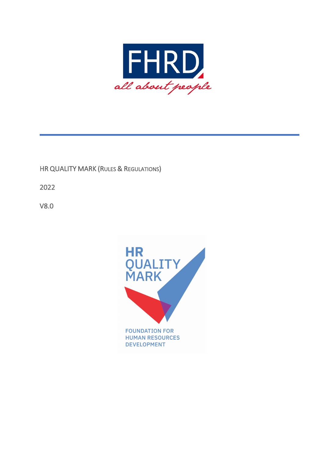

## HR QUALITY MARK (RULES & REGULATIONS)

2022

V8.0

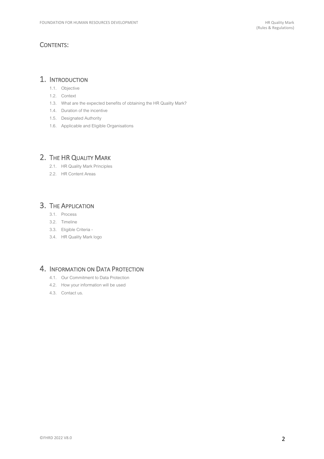### CONTENTS:

### 1. INTRODUCTION

- 1.1. Objective
- 1.2. Context
- 1.3. What are the expected benefits of obtaining the HR Quality Mark?
- 1.4. Duration of the incentive
- 1.5. Designated Authority
- 1.6. Applicable and Eligible Organisations

## 2. THE HR QUALITY MARK

- 2.1. HR Quality Mark Principles
- 2.2. HR Content Areas

### 3. THE APPLICATION

- 3.1. Process
- 3.2. Timeline
- 3.3. Eligible Criteria -
- 3.4. HR Quality Mark logo

### 4. INFORMATION ON DATA PROTECTION

- 4.1. Our Commitment to Data Protection
- 4.2. How your information will be used
- 4.3. Contact us.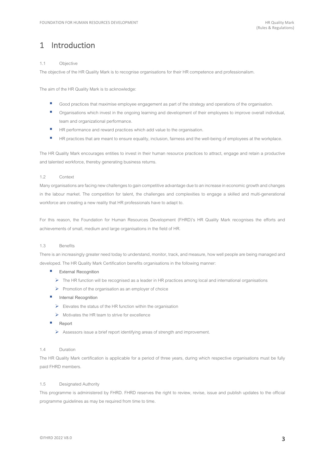## 1 Introduction

### 1.1 Objective

The objective of the HR Quality Mark is to recognise organisations for their HR competence and professionalism.

The aim of the HR Quality Mark is to acknowledge:

- Good practices that maximise employee engagement as part of the strategy and operations of the organisation.
- Organisations which invest in the ongoing learning and development of their employees to improve overall individual, team and organizational performance.
- HR performance and reward practices which add value to the organisation.
- HR practices that are meant to ensure equality, inclusion, fairness and the well-being of employees at the workplace.

The HR Quality Mark encourages entities to invest in their human resource practices to attract, engage and retain a productive and talented workforce, thereby generating business returns.

### 1.2 Context

Many organisationsare facing new challenges to gain competitive advantage due to an increase in economic growth and changes in the labour market. The competition for talent, the challenges and complexities to engage a skilled and multi-generational workforce are creating a new reality that HR professionals have to adapt to.

For this reason, the Foundation for Human Resources Development (FHRD)'s HR Quality Mark recognises the efforts and achievements of small, medium and large organisations in the field of HR.

#### 1.3 Benefits

There is an increasingly greater need today to understand, monitor, track, and measure, how well people are being managed and developed. The HR Quality Mark Certification benefits organisations in the following manner:

- **External Recognition** 
	- $\triangleright$  The HR function will be recognised as a leader in HR practices among local and international organisations
	- $\triangleright$  Promotion of the organisation as an employer of choice
- **Internal Recognition** 
	- $\triangleright$  Elevates the status of the HR function within the organisation
	- $\triangleright$  Motivates the HR team to strive for excellence
- § **Report**
	- $\triangleright$  Assessors issue a brief report identifying areas of strength and improvement.

### 1.4 Duration

The HR Quality Mark certification is applicable for a period of three years, during which respective organisations must be fully paid FHRD members.

### 1.5 Designated Authority

This programme is administered by FHRD. FHRD reserves the right to review, revise, issue and publish updates to the official programme guidelines as may be required from time to time.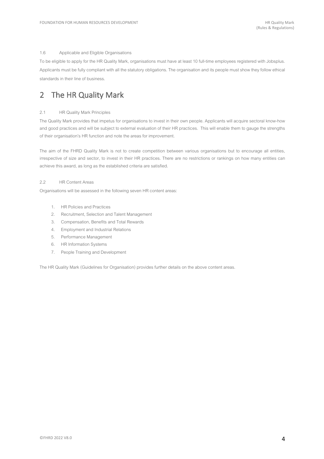### 1.6 Applicable and Eligible Organisations

To be eligible to apply for the HR Quality Mark, organisations must have at least 10 full-time employees registered with Jobsplus. Applicants must be fully compliant with all the statutory obligations. The organisation and its people must show they follow ethical standards in their line of business.

## 2 The HR Quality Mark

### 2.1 HR Quality Mark Principles

The Quality Mark provides that impetus for organisations to invest in their own people. Applicants will acquire sectoral know-how and good practices and will be subject to external evaluation of their HR practices. This will enable them to gauge the strengths of their organisation's HR function and note the areas for improvement.

The aim of the FHRD Quality Mark is not to create competition between various organisations but to encourage all entities, irrespective of size and sector, to invest in their HR practices. There are no restrictions or rankings on how many entities can achieve this award, as long as the established criteria are satisfied.

### 2.2 HR Content Areas

Organisations will be assessed in the following seven HR content areas:

- 1. HR Policies and Practices
- 2. Recruitment, Selection and Talent Management
- 3. Compensation, Benefits and Total Rewards
- 4. Employment and Industrial Relations
- 5. Performance Management
- 6. HR Information Systems
- 7. People Training and Development

The HR Quality Mark (Guidelines for Organisation) provides further details on the above content areas.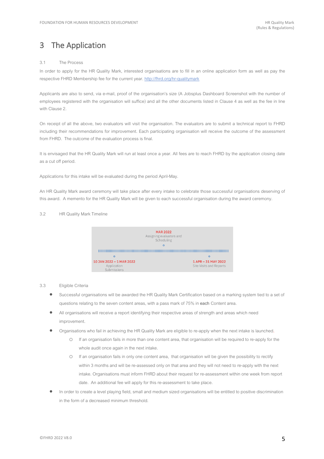# 3 The Application

### 3.1 The Process

In order to apply for the HR Quality Mark, interested organisations are to fill in an online application form as well as pay the respective FHRD Membership fee for the current year. http://fhrd.org/hr-qualitymark

Applicants are also to send, via e-mail, proof of the organisation's size (A Jobsplus Dashboard Screenshot with the number of employees registered with the organisation will suffice) and all the other documents listed in Clause 4 as well as the fee in line with Clause 2.

On receipt of all the above, two evaluators will visit the organisation. The evaluators are to submit a technical report to FHRD including their recommendations for improvement. Each participating organisation will receive the outcome of the assessment from FHRD. The outcome of the evaluation process is final.

It is envisaged that the HR Quality Mark will run at least once a year. All fees are to reach FHRD by the application closing date as a cut off period.

Applications for this intake will be evaluated during the period April-May.

An HR Quality Mark award ceremony will take place after every intake to celebrate those successful organisations deserving of this award. A memento for the HR Quality Mark will be given to each successful organisation during the award ceremony.

### 3.2 HR Quality Mark Timeline



### 3.3 Eligible Criteria

- Successful organisations will be awarded the HR Quality Mark Certification based on a marking system tied to a set of questions relating to the seven content areas, with a pass mark of 75% in **each** Content area.
- All organisations will receive a report identifying their respective areas of strength and areas which need improvement.
- Organisations who fail in achieving the HR Quality Mark are eligible to re-apply when the next intake is launched.
	- o If an organisation fails in more than one content area, that organisation will be required to re-apply for the whole audit once again in the next intake.
	- o If an organisation fails in only one content area, that organisation will be given the possibility to rectify within 3 months and will be re-assessed only on that area and they will not need to re-apply with the next intake. Organisations must inform FHRD about their request for re-assessment within one week from report date. An additional fee will apply for this re-assessment to take place.
- In order to create a level playing field, small and medium sized organisations will be entitled to positive discrimination in the form of a decreased minimum threshold.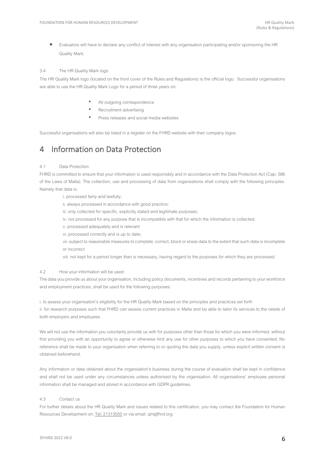• Evaluators will have to declare any conflict of interest with any organisation participating and/or sponsoring the HR Quality Mark.

### 3.4 The HR Quality Mark logo

The HR Quality Mark logo (located on the front cover of the Rules and Regulations) is the official logo. Successful organisations are able to use the HR Quality Mark Logo for a period of three years on:

- All outgoing correspondence
- Recruitment advertising
- Press releases and social media websites

Successful organisations will also be listed in a register on the FHRD website with their company logos.

## 4 Information on Data Protection

#### 4.1 Data Protection

FHRD is committed to ensure that your information is used responsibly and in accordance with the Data Protection Act (Cap. 586 of the Laws of Malta). The collection, use and processing of data from organisations shall comply with the following principles. Namely that data is:

i. processed fairly and lawfully;

ii. always processed in accordance with good practice;

- iii. only collected for specific, explicitly stated and legitimate purposes;
- iv. not processed for any purpose that is incompatible with that for which the information is collected;
- v. processed adequately and is relevant
- vi. processed correctly and is up to date;

vii. subject to reasonable measures to complete, correct, block or erase data to the extent that such data is incomplete or incorrect

viii. not kept for a period longer than is necessary, having regard to the purposes for which they are processed.

### 4.2 How your information will be used

The data you provide us about your organisation, including policy documents, incentives and records pertaining to your workforce and employment practices, shall be used for the following purposes:

i. to assess your organisation's eligibility for the HR Quality Mark based on the principles and practices set forth

ii. for research purposes such that FHRD can assess current practices in Malta and be able to tailor its services to the needs of both employers and employees.

We will not use the information you voluntarily provide us with for purposes other than those for which you were informed, without first providing you with an opportunity to agree or otherwise limit any use for other purposes to which you have consented. No reference shall be made to your organisation when referring to or quoting the data you supply, unless explicit written consent is obtained beforehand.

Any information or data obtained about the organisation's business during the course of evaluation shall be kept in confidence and shall not be used under any circumstances unless authorised by the organisation. All organisations' employee personal information shall be managed and stored in accordance with GDPR guidelines.

#### 4.3 Contact us

For further details about the HR Quality Mark and issues related to this certification, you may contact the Foundation for Human Resources Development on: Tel: 21313550 or via email: qm@fhrd.org